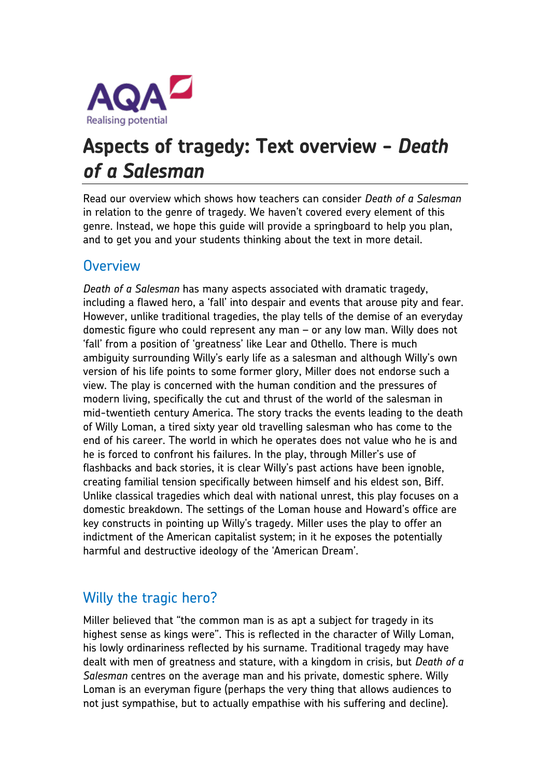

# **Aspects of tragedy: Text overview -** *Death of a Salesman*

Read our overview which shows how teachers can consider *Death of a Salesman* in relation to the genre of tragedy. We haven't covered every element of this genre. Instead, we hope this guide will provide a springboard to help you plan, and to get you and your students thinking about the text in more detail.

#### **Overview**

*Death of a Salesman* has many aspects associated with dramatic tragedy, including a flawed hero, a 'fall' into despair and events that arouse pity and fear. However, unlike traditional tragedies, the play tells of the demise of an everyday domestic figure who could represent any man – or any low man. Willy does not 'fall' from a position of 'greatness' like Lear and Othello. There is much ambiguity surrounding Willy's early life as a salesman and although Willy's own version of his life points to some former glory, Miller does not endorse such a view. The play is concerned with the human condition and the pressures of modern living, specifically the cut and thrust of the world of the salesman in mid-twentieth century America. The story tracks the events leading to the death of Willy Loman, a tired sixty year old travelling salesman who has come to the end of his career. The world in which he operates does not value who he is and he is forced to confront his failures. In the play, through Miller's use of flashbacks and back stories, it is clear Willy's past actions have been ignoble, creating familial tension specifically between himself and his eldest son, Biff. Unlike classical tragedies which deal with national unrest, this play focuses on a domestic breakdown. The settings of the Loman house and Howard's office are key constructs in pointing up Willy's tragedy. Miller uses the play to offer an indictment of the American capitalist system; in it he exposes the potentially harmful and destructive ideology of the 'American Dream'.

## Willy the tragic hero?

Miller believed that "the common man is as apt a subject for tragedy in its highest sense as kings were". This is reflected in the character of Willy Loman, his lowly ordinariness reflected by his surname. Traditional tragedy may have dealt with men of greatness and stature, with a kingdom in crisis, but *Death of a Salesman* centres on the average man and his private, domestic sphere. Willy Loman is an everyman figure (perhaps the very thing that allows audiences to not just sympathise, but to actually empathise with his suffering and decline).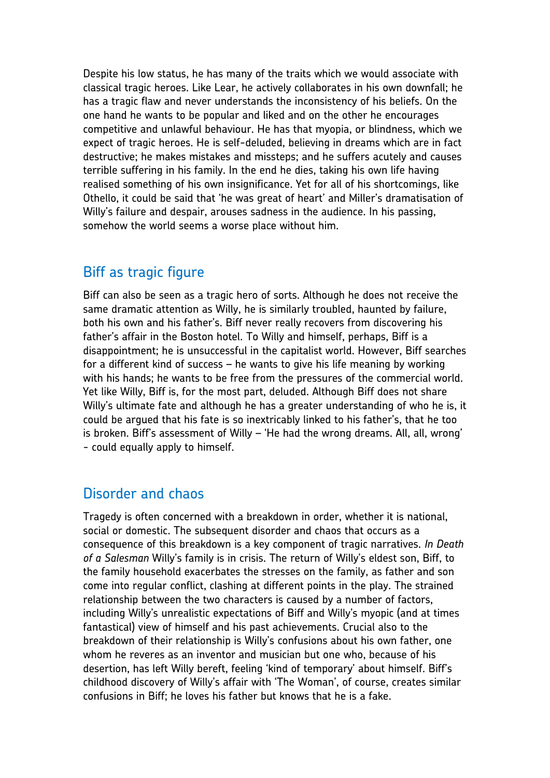Despite his low status, he has many of the traits which we would associate with classical tragic heroes. Like Lear, he actively collaborates in his own downfall; he has a tragic flaw and never understands the inconsistency of his beliefs. On the one hand he wants to be popular and liked and on the other he encourages competitive and unlawful behaviour. He has that myopia, or blindness, which we expect of tragic heroes. He is self-deluded, believing in dreams which are in fact destructive; he makes mistakes and missteps; and he suffers acutely and causes terrible suffering in his family. In the end he dies, taking his own life having realised something of his own insignificance. Yet for all of his shortcomings, like Othello, it could be said that 'he was great of heart' and Miller's dramatisation of Willy's failure and despair, arouses sadness in the audience. In his passing, somehow the world seems a worse place without him.

#### Biff as tragic figure

Biff can also be seen as a tragic hero of sorts. Although he does not receive the same dramatic attention as Willy, he is similarly troubled, haunted by failure, both his own and his father's. Biff never really recovers from discovering his father's affair in the Boston hotel. To Willy and himself, perhaps, Biff is a disappointment; he is unsuccessful in the capitalist world. However, Biff searches for a different kind of success – he wants to give his life meaning by working with his hands; he wants to be free from the pressures of the commercial world. Yet like Willy, Biff is, for the most part, deluded. Although Biff does not share Willy's ultimate fate and although he has a greater understanding of who he is, it could be argued that his fate is so inextricably linked to his father's, that he too is broken. Biff's assessment of Willy – 'He had the wrong dreams. All, all, wrong' - could equally apply to himself.

### Disorder and chaos

Tragedy is often concerned with a breakdown in order, whether it is national, social or domestic. The subsequent disorder and chaos that occurs as a consequence of this breakdown is a key component of tragic narratives. *In Death of a Salesman* Willy's family is in crisis. The return of Willy's eldest son, Biff, to the family household exacerbates the stresses on the family, as father and son come into regular conflict, clashing at different points in the play. The strained relationship between the two characters is caused by a number of factors, including Willy's unrealistic expectations of Biff and Willy's myopic (and at times fantastical) view of himself and his past achievements. Crucial also to the breakdown of their relationship is Willy's confusions about his own father, one whom he reveres as an inventor and musician but one who, because of his desertion, has left Willy bereft, feeling 'kind of temporary' about himself. Biff's childhood discovery of Willy's affair with 'The Woman', of course, creates similar confusions in Biff; he loves his father but knows that he is a fake.